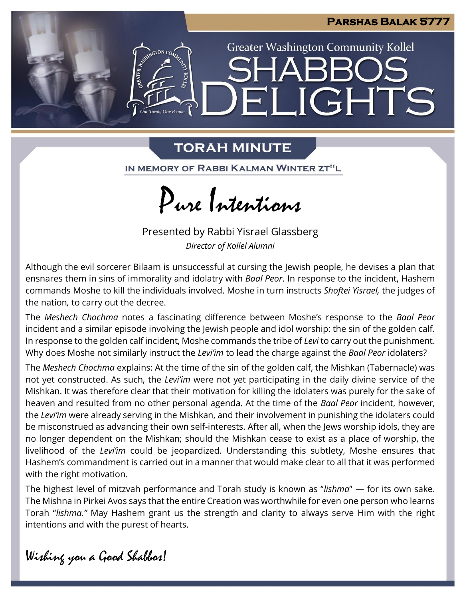

**JGHTS** 

**Greater Washington Community Kollel** 

# **TORAH MINUTE**

 $\exists$   $\mathbb{I}$ 

**ANINGTON CO** 

One Torah. One People

IN MEMORY OF RABBI KALMAN WINTER ZT"L

Pure Intentions

Presented by Rabbi Yisrael Glassberg *Director of Kollel Alumni*

Although the evil sorcerer Bilaam is unsuccessful at cursing the Jewish people, he devises a plan that ensnares them in sins of immorality and idolatry with *Baal Peor*. In response to the incident, Hashem commands Moshe to kill the individuals involved. Moshe in turn instructs *Shoftei Yisrael,* the judges of the nation*,* to carry out the decree.

The *Meshech Chochma* notes a fascinating difference between Moshe's response to the *Baal Peor*  incident and a similar episode involving the Jewish people and idol worship: the sin of the golden calf. In response to the golden calf incident, Moshe commands the tribe of *Levi* to carry out the punishment. Why does Moshe not similarly instruct the *Levi'im* to lead the charge against the *Baal Peor* idolaters?

The *Meshech Chochma* explains: At the time of the sin of the golden calf, the Mishkan (Tabernacle) was not yet constructed. As such, the *Levi'im* were not yet participating in the daily divine service of the Mishkan. It was therefore clear that their motivation for killing the idolaters was purely for the sake of heaven and resulted from no other personal agenda. At the time of the *Baal Peor* incident, however, the *Levi'im* were already serving in the Mishkan, and their involvement in punishing the idolaters could be misconstrued as advancing their own self-interests. After all, when the Jews worship idols, they are no longer dependent on the Mishkan; should the Mishkan cease to exist as a place of worship, the livelihood of the *Levi'im* could be jeopardized. Understanding this subtlety, Moshe ensures that Hashem's commandment is carried out in a manner that would make clear to all that it was performed with the right motivation.

The highest level of mitzvah performance and Torah study is known as "*lishma*" — for its own sake. The Mishna in Pirkei Avos says that the entire Creation was worthwhile for even one person who learns Torah "*lishma."* May Hashem grant us the strength and clarity to always serve Him with the right intentions and with the purest of hearts.

Wishing you a Good Shabbos!